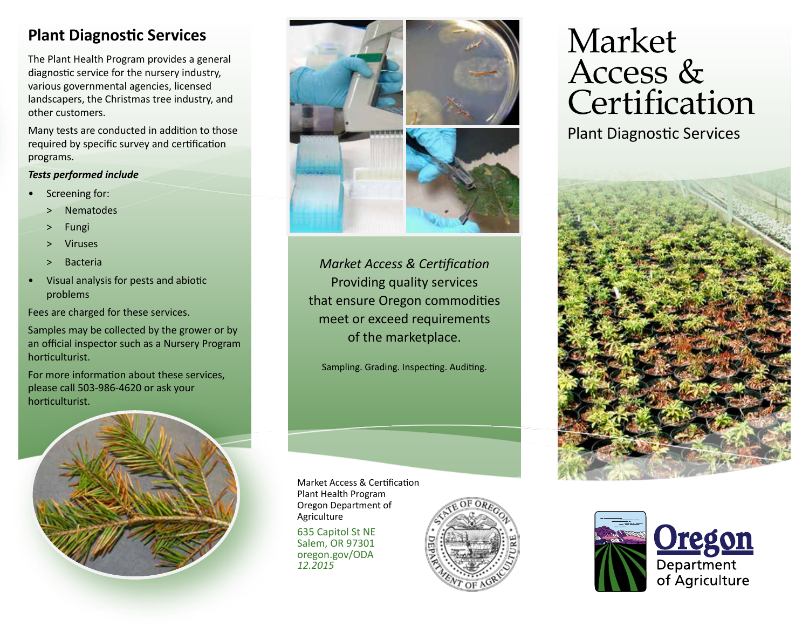## **Plant Diagnostic Services**

The Plant Health Program provides a general diagnostic service for the nursery industry, various governmental agencies, licensed landscapers, the Christmas tree industry, and other customers.

Many tests are conducted in addition to those required by specific survey and certification programs.

## *Tests performed include*

- Screening for:
	- > Nematodes<br>> Fungi
	-
	- ˃ Viruses
	- ˃ Bacteria
- Visual analysis for pests and abiotic problems

Fees are charged for these services.

Samples may be collected by the grower or by an official inspector such as a Nursery Program horticulturist.

For more information about these services, please call 503-986-4620 or ask your horticulturist.





*Market Access & Certification* Providing quality services that ensure Oregon commodities meet or exceed requirements of the marketplace.

Sampling. Grading. Inspecting. Auditing.

Market Access & Certification Plant Health Program Oregon Department of Agriculture

635 Capitol St NE Salem, OR 97301 oregon.gov/ODA *12.2015*



# Market Access & Certification

Plant Diagnostic Services